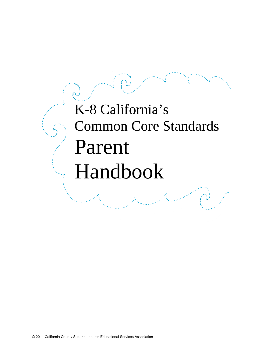# K-8 California's Common Core Standards Parent Handbook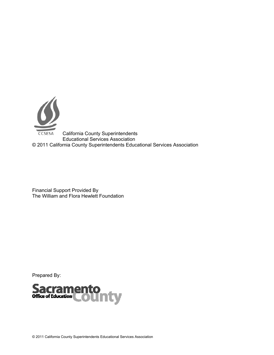

California County Superintendents Educational Services Association © 2011 California County Superintendents Educational Services Association

Financial Support Provided By The William and Flora Hewlett Foundation

Prepared By:

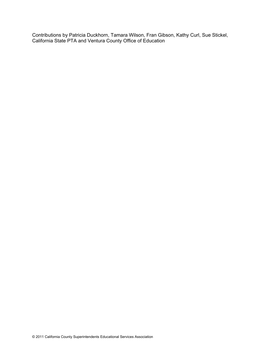Contributions by Patricia Duckhorn, Tamara Wilson, Fran Gibson, Kathy Curl, Sue Stickel, California State PTA and Ventura County Office of Education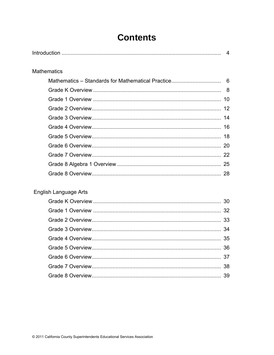## **Contents**

|                       | $\boldsymbol{\Delta}$ |
|-----------------------|-----------------------|
| <b>Mathematics</b>    |                       |
|                       |                       |
|                       |                       |
|                       |                       |
|                       |                       |
|                       |                       |
|                       |                       |
|                       |                       |
|                       |                       |
|                       |                       |
|                       |                       |
|                       |                       |
|                       |                       |
| English Language Arts |                       |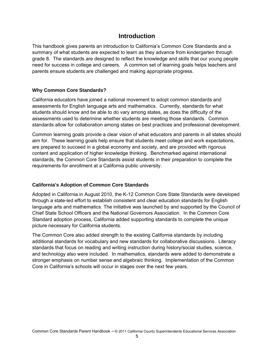## **Introduction**

This handbook gives parents an introduction to California's Common Core Standards and a summary of what students are expected to learn as they advance from kindergarten through grade 8. The standards are designed to reflect the knowledge and skills that our young people need for success in college and careers. A common set of learning goals helps teachers and parents ensure students are challenged and making appropriate progress.

## **Why Common Core Standards?**

California educators have joined a national movement to adopt common standards and assessments for English language arts and mathematics. Currently, standards for what students should know and be able to do vary among states, as does the difficulty of the assessments used to determine whether students are meeting those standards. Common standards allow for collaboration among states on best practices and professional development.

Common learning goals provide a clear vision of what educators and parents in all states should aim for. These learning goals help ensure that students meet college and work expectations, are prepared to succeed in a global economy and society, and are provided with rigorous content and application of higher knowledge thinking. Benchmarked against international standards, the Common Core Standards assist students in their preparation to complete the requirements for enrollment at a California public university.

#### **California's Adoption of Common Core Standards**

Adopted in California in August 2010, the K-12 Common Core State Standards were developed through a state-led effort to establish consistent and clear education standards for English language arts and mathematics. The initiative was launched by and supported by the Council of Chief State School Officers and the National Governors Association. In the Common Core Standard adoption process, California added supporting standards to complete the unique picture necessary for California students.

The Common Core also added strength to the existing California standards by including additional standards for vocabulary and new standards for collaborative discussions. Literacy standards that focus on reading and writing instruction during history/social studies, science, and technology also were included. In mathematics, standards were added to demonstrate a stronger emphasis on number sense and algebraic thinking. Implementation of the Common Core in California's schools will occur in stages over the next few years.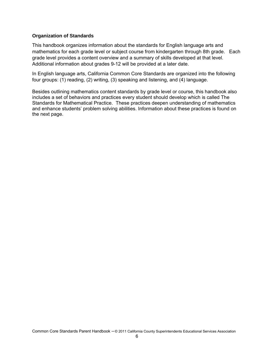## **Organization of Standards**

This handbook organizes information about the standards for English language arts and mathematics for each grade level or subject course from kindergarten through 8th grade. Each grade level provides a content overview and a summary of skills developed at that level. Additional information about grades 9-12 will be provided at a later date.

In English language arts, California Common Core Standards are organized into the following four groups: (1) reading, (2) writing, (3) speaking and listening, and (4) language.

Besides outlining mathematics content standards by grade level or course, this handbook also includes a set of behaviors and practices every student should develop which is called The Standards for Mathematical Practice. These practices deepen understanding of mathematics and enhance students' problem solving abilities. Information about these practices is found on the next page.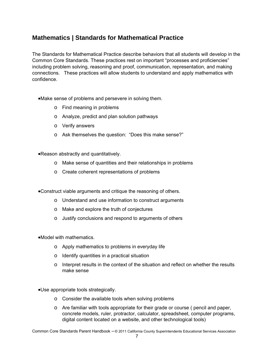## **Mathematics | Standards for Mathematical Practice**

The Standards for Mathematical Practice describe behaviors that all students will develop in the Common Core Standards. These practices rest on important "processes and proficiencies" including problem solving, reasoning and proof, communication, representation, and making connections. These practices will allow students to understand and apply mathematics with confidence.

- Make sense of problems and persevere in solving them.
	- o Find meaning in problems
	- o Analyze, predict and plan solution pathways
	- o Verify answers
	- o Ask themselves the question: "Does this make sense?"
- Reason abstractly and quantitatively.
	- o Make sense of quantities and their relationships in problems
	- o Create coherent representations of problems

Construct viable arguments and critique the reasoning of others.

- o Understand and use information to construct arguments
- o Make and explore the truth of conjectures
- o Justify conclusions and respond to arguments of others

Model with mathematics.

- o Apply mathematics to problems in everyday life
- o Identify quantities in a practical situation
- $\circ$  Interpret results in the context of the situation and reflect on whether the results make sense

Use appropriate tools strategically.

- o Consider the available tools when solving problems
- o Are familiar with tools appropriate for their grade or course ( pencil and paper, concrete models, ruler, protractor, calculator, spreadsheet, computer programs, digital content located on a website, and other technological tools)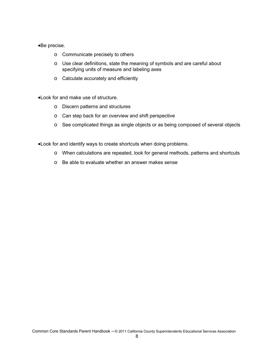#### Be precise.

- o Communicate precisely to others
- o Use clear definitions, state the meaning of symbols and are careful about specifying units of measure and labeling axes
- o Calculate accurately and efficiently

Look for and make use of structure.

- o Discern patterns and structures
- o Can step back for an overview and shift perspective
- o See complicated things as single objects or as being composed of several objects

Look for and identify ways to create shortcuts when doing problems.

- o When calculations are repeated, look for general methods, patterns and shortcuts
- o Be able to evaluate whether an answer makes sense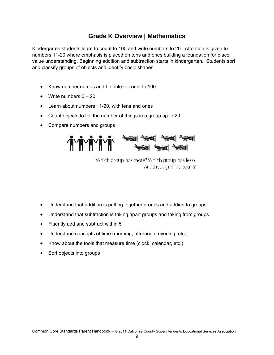## **Grade K Overview | Mathematics**

Kindergarten students learn to count to 100 and write numbers to 20. Attention is given to numbers 11-20 where emphasis is placed on tens and ones building a foundation for place value understanding. Beginning addition and subtraction starts in kindergarten. Students sort and classify groups of objects and identify basic shapes.

- Know number names and be able to count to 100
- Write numbers  $0 20$
- Learn about numbers 11-20, with tens and ones
- Count objects to tell the number of things in a group up to 20
- Compare numbers and groups



Which group has more? Which group has less? Are these groups equal?

- Understand that addition is putting together groups and adding to groups
- Understand that subtraction is taking apart groups and taking from groups
- Fluently add and subtract within 5
- Understand concepts of time (morning, afternoon, evening, etc.)
- Know about the tools that measure time (clock, calendar, etc.)
- Sort objects into groups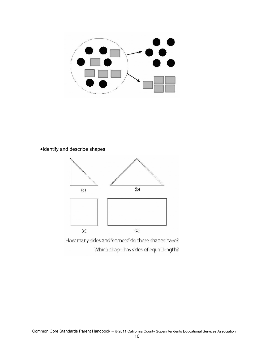

Identify and describe shapes



How many sides and "corners" do these shapes have? Which shape has sides of equal length?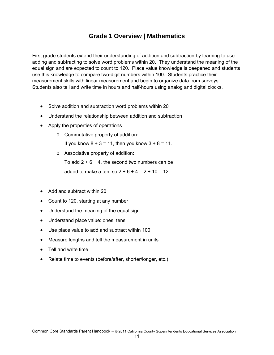## **Grade 1 Overview | Mathematics**

First grade students extend their understanding of addition and subtraction by learning to use adding and subtracting to solve word problems within 20. They understand the meaning of the equal sign and are expected to count to 120. Place value knowledge is deepened and students use this knowledge to compare two-digit numbers within 100. Students practice their measurement skills with linear measurement and begin to organize data from surveys. Students also tell and write time in hours and half-hours using analog and digital clocks.

- Solve addition and subtraction word problems within 20
- Understand the relationship between addition and subtraction
- Apply the properties of operations
	- o Commutative property of addition:

If you know  $8 + 3 = 11$ , then you know  $3 + 8 = 11$ .

o Associative property of addition:

To add  $2 + 6 + 4$ , the second two numbers can be

added to make a ten, so  $2 + 6 + 4 = 2 + 10 = 12$ .

- Add and subtract within 20
- Count to 120, starting at any number
- Understand the meaning of the equal sign
- Understand place value: ones, tens
- Use place value to add and subtract within 100
- Measure lengths and tell the measurement in units
- Tell and write time
- Relate time to events (before/after, shorter/longer, etc.)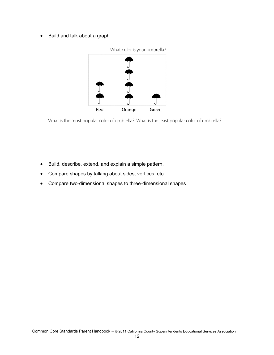Build and talk about a graph



What is the most popular color of umbrella? What is the least popular color of umbrella?

- Build, describe, extend, and explain a simple pattern.
- Compare shapes by talking about sides, vertices, etc.
- Compare two-dimensional shapes to three-dimensional shapes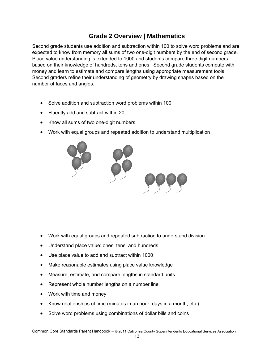## **Grade 2 Overview | Mathematics**

Second grade students use addition and subtraction within 100 to solve word problems and are expected to know from memory all sums of two one-digit numbers by the end of second grade. Place value understanding is extended to 1000 and students compare three digit numbers based on their knowledge of hundreds, tens and ones. Second grade students compute with money and learn to estimate and compare lengths using appropriate measurement tools. Second graders refine their understanding of geometry by drawing shapes based on the number of faces and angles.

- Solve addition and subtraction word problems within 100
- Fluently add and subtract within 20
- Know all sums of two one-digit numbers
- Work with equal groups and repeated addition to understand multiplication



- Work with equal groups and repeated subtraction to understand division
- Understand place value: ones, tens, and hundreds
- Use place value to add and subtract within 1000
- Make reasonable estimates using place value knowledge
- Measure, estimate, and compare lengths in standard units
- Represent whole number lengths on a number line
- Work with time and money
- Know relationships of time (minutes in an hour, days in a month, etc.)
- Solve word problems using combinations of dollar bills and coins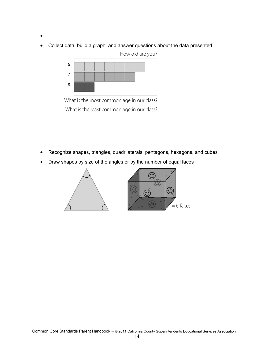- $\bullet$
- Collect data, build a graph, and answer questions about the data presented



What is the most common age in our class? What is the least common age in our class?

- Recognize shapes, triangles, quadrilaterals, pentagons, hexagons, and cubes
- Draw shapes by size of the angles or by the number of equal faces

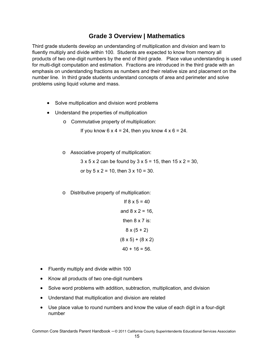## **Grade 3 Overview | Mathematics**

Third grade students develop an understanding of multiplication and division and learn to fluently multiply and divide within 100. Students are expected to know from memory all products of two one-digit numbers by the end of third grade. Place value understanding is used for multi-digit computation and estimation. Fractions are introduced in the third grade with an emphasis on understanding fractions as numbers and their relative size and placement on the number line. In third grade students understand concepts of area and perimeter and solve problems using liquid volume and mass.

- Solve multiplication and division word problems
- Understand the properties of multiplication
	- o Commutative property of multiplication:

If you know  $6 \times 4 = 24$ , then you know  $4 \times 6 = 24$ .

o Associative property of multiplication:

 $3 \times 5 \times 2$  can be found by  $3 \times 5 = 15$ , then  $15 \times 2 = 30$ , or by  $5 \times 2 = 10$ , then  $3 \times 10 = 30$ .

o Distributive property of multiplication:

If 
$$
8 \times 5 = 40
$$
  
and  $8 \times 2 = 16$ ,  
then  $8 \times 7$  is:  
 $8 \times (5 + 2)$   
 $(8 \times 5) + (8 \times 2)$   
 $40 + 16 = 56$ .

- Fluently multiply and divide within 100
- Know all products of two one-digit numbers
- Solve word problems with addition, subtraction, multiplication, and division
- Understand that multiplication and division are related
- Use place value to round numbers and know the value of each digit in a four-digit number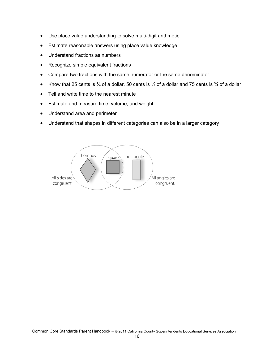- Use place value understanding to solve multi-digit arithmetic
- Estimate reasonable answers using place value knowledge
- Understand fractions as numbers
- Recognize simple equivalent fractions
- Compare two fractions with the same numerator or the same denominator
- Know that 25 cents is  $\frac{1}{4}$  of a dollar, 50 cents is  $\frac{1}{2}$  of a dollar and 75 cents is  $\frac{3}{4}$  of a dollar
- Tell and write time to the nearest minute
- **Estimate and measure time, volume, and weight**
- Understand area and perimeter
- Understand that shapes in different categories can also be in a larger category

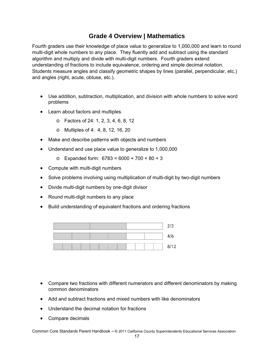## **Grade 4 Overview | Mathematics**

Fourth graders use their knowledge of place value to generalize to 1,000,000 and learn to round multi-digit whole numbers to any place. They fluently add and subtract using the standard algorithm and multiply and divide with multi-digit numbers. Fourth graders extend understanding of fractions to include equivalence, ordering and simple decimal notation. Students measure angles and classify geometric shapes by lines (parallel, perpendicular, etc.) and angles (right, acute, obtuse, etc.).

- Use addition, subtraction, multiplication, and division with whole numbers to solve word problems
- Learn about factors and multiples
	- o Factors of 24: 1, 2, 3, 4, 6, 8, 12
	- o Multiples of 4: 4, 8, 12, 16, 20
- Make and describe patterns with objects and numbers
- Understand and use place value to generalize to 1,000,000
	- $\circ$  Expanded form: 6783 = 6000 + 700 + 80 + 3
- Compute with multi-digit numbers
- Solve problems involving using multiplication of multi-digit by two-digit numbers
- Divide multi-digit numbers by one-digit divisor
- Round multi-digit numbers to any place
- Build understanding of equivalent fractions and ordering fractions



- Compare two fractions with different numerators and different denominators by making common denominators
- Add and subtract fractions and mixed numbers with like denominators
- Understand the decimal notation for fractions
- Compare decimals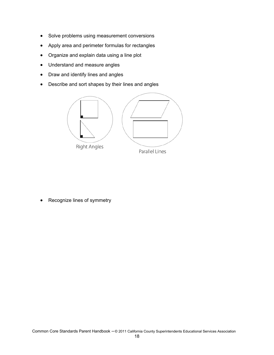- Solve problems using measurement conversions
- Apply area and perimeter formulas for rectangles
- Organize and explain data using a line plot
- Understand and measure angles
- Draw and identify lines and angles
- Describe and sort shapes by their lines and angles



Recognize lines of symmetry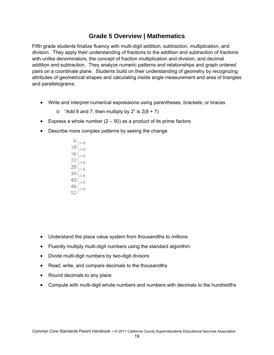## **Grade 5 Overview | Mathematics**

Fifth grade students finalize fluency with multi-digit addition, subtraction, multiplication, and division. They apply their understanding of fractions to the addition and subtraction of fractions with unlike denominators, the concept of fraction multiplication and division, and decimal addition and subtraction. They analyze numeric patterns and relationships and graph ordered pairs on a coordinate plane. Students build on their understanding of geometry by recognizing attributes of geometrical shapes and calculating inside angle measurement and area of triangles and parallelograms.

- Write and interpret numerical expressions using parentheses, brackets, or braces
	- $\circ$  "Add 8 and 7, then multiply by 2" is 2(8 + 7)
- Express a whole number  $(2 50)$  as a product of its prime factors
- Describe more complex patterns by seeing the change

 $10<$  $16<$ 22 $\langle$  $\frac{28}{16}$  $34<$ 40 46<

- Understand the place value system from thousandths to millions
- Fluently multiply multi-digit numbers using the standard algorithm
- Divide multi-digit numbers by two-digit divisors
- Read, write, and compare decimals to the thousandths
- Round decimals to any place
- Compute with multi-digit whole numbers and numbers with decimals to the hundredths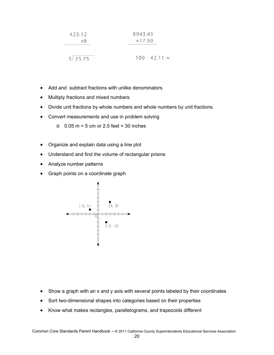$$
\begin{array}{c|c}\n423.12 \\
\times8 \\
\hline\n\end{array}\n\qquad\n\begin{array}{c}\n8943.43 \\
+17.50 \\
\hline\n\end{array}
$$

$$
5 \overline{)25.75} \qquad \qquad 100 - 42.11 =
$$

- Add and subtract fractions with unlike denominators
- Multiply fractions and mixed numbers
- Divide unit fractions by whole numbers and whole numbers by unit fractions
- Convert measurements and use in problem solving
	- $\circ$  0.05 m = 5 cm or 2.5 feet = 30 inches
- Organize and explain data using a line plot
- Understand and find the volume of rectangular prisms
- Analyze number patterns
- Graph points on a coordinate graph



- Show a graph with an x and y axis with several points labeled by their coordinates
- Sort two-dimensional shapes into categories based on their properties
- Know what makes rectangles, parallelograms, and trapezoids different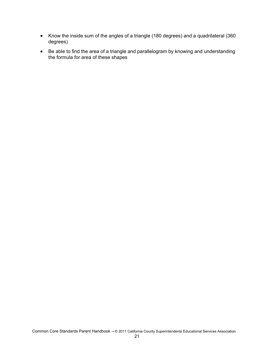- Know the inside sum of the angles of a triangle (180 degrees) and a quadrilateral (360 degrees)
- Be able to find the area of a triangle and parallelogram by knowing and understanding the formula for area of these shapes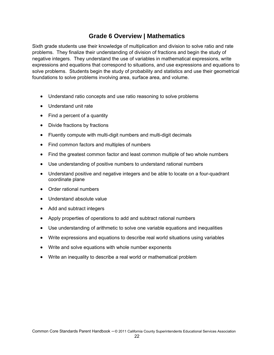## **Grade 6 Overview | Mathematics**

Sixth grade students use their knowledge of multiplication and division to solve ratio and rate problems. They finalize their understanding of division of fractions and begin the study of negative integers. They understand the use of variables in mathematical expressions, write expressions and equations that correspond to situations, and use expressions and equations to solve problems. Students begin the study of probability and statistics and use their geometrical foundations to solve problems involving area, surface area, and volume.

- Understand ratio concepts and use ratio reasoning to solve problems
- Understand unit rate
- Find a percent of a quantity
- Divide fractions by fractions
- Fluently compute with multi-digit numbers and multi-digit decimals
- Find common factors and multiples of numbers
- Find the greatest common factor and least common multiple of two whole numbers
- Use understanding of positive numbers to understand rational numbers
- Understand positive and negative integers and be able to locate on a four-quadrant coordinate plane
- Order rational numbers
- Understand absolute value
- Add and subtract integers
- Apply properties of operations to add and subtract rational numbers
- Use understanding of arithmetic to solve one variable equations and inequalities
- Write expressions and equations to describe real world situations using variables
- Write and solve equations with whole number exponents
- Write an inequality to describe a real world or mathematical problem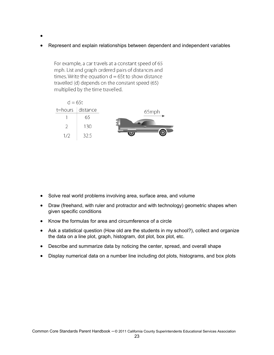- $\bullet$
- Represent and explain relationships between dependent and independent variables

For example, a car travels at a constant speed of 65 mph. List and graph ordered pairs of distances and times. Write the equation  $d = 65t$  to show distance travelled (d) depends on the constant speed (65) multiplied by the time travelled.

|       |                      | $d = 65t$ |
|-------|----------------------|-----------|
| 65mph | $t = hours$ distance |           |
|       | 65                   |           |
|       | 130                  |           |
|       | 32.5                 | 1/2       |

- Solve real world problems involving area, surface area, and volume
- Draw (freehand, with ruler and protractor and with technology) geometric shapes when given specific conditions
- Know the formulas for area and circumference of a circle
- Ask a statistical question (How old are the students in my school?), collect and organize the data on a line plot, graph, histogram, dot plot, box plot, etc.
- Describe and summarize data by noticing the center, spread, and overall shape
- Display numerical data on a number line including dot plots, histograms, and box plots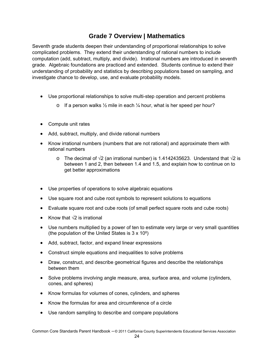## **Grade 7 Overview | Mathematics**

Seventh grade students deepen their understanding of proportional relationships to solve complicated problems. They extend their understanding of rational numbers to include computation (add, subtract, multiply, and divide). Irrational numbers are introduced in seventh grade. Algebraic foundations are practiced and extended. Students continue to extend their understanding of probability and statistics by describing populations based on sampling, and investigate chance to develop, use, and evaluate probability models.

- Use proportional relationships to solve multi-step operation and percent problems
	- o If a person walks  $\frac{1}{2}$  mile in each  $\frac{1}{4}$  hour, what is her speed per hour?
- Compute unit rates
- Add, subtract, multiply, and divide rational numbers
- Know irrational numbers (numbers that are not rational) and approximate them with rational numbers
	- o The decimal of √2 (an irrational number) is 1.4142435623. Understand that √2 is between 1 and 2, then between 1.4 and 1.5, and explain how to continue on to get better approximations
- Use properties of operations to solve algebraic equations
- Use square root and cube root symbols to represent solutions to equations
- Evaluate square root and cube roots (of small perfect square roots and cube roots)
- Know that  $\sqrt{2}$  is irrational
- Use numbers multiplied by a power of ten to estimate very large or very small quantities (the population of the United States is  $3 \times 10^8$ )
- Add, subtract, factor, and expand linear expressions
- Construct simple equations and inequalities to solve problems
- Draw, construct, and describe geometrical figures and describe the relationships between them
- Solve problems involving angle measure, area, surface area, and volume (cylinders, cones, and spheres)
- Know formulas for volumes of cones, cylinders, and spheres
- Know the formulas for area and circumference of a circle
- Use random sampling to describe and compare populations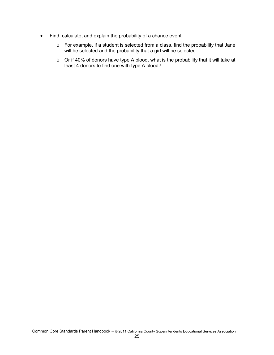- Find, calculate, and explain the probability of a chance event
	- o For example, if a student is selected from a class, find the probability that Jane will be selected and the probability that a girl will be selected.
	- o Or if 40% of donors have type A blood, what is the probability that it will take at least 4 donors to find one with type A blood?

Common Core Standards Parent Handbook – © 2011 California County Superintendents Educational Services Association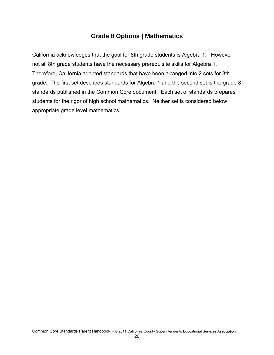## **Grade 8 Options | Mathematics**

California acknowledges that the goal for 8th grade students is Algebra 1. However, not all 8th grade students have the necessary prerequisite skills for Algebra 1. Therefore, California adopted standards that have been arranged into 2 sets for 8th grade. The first set describes standards for Algebra 1 and the second set is the grade 8 standards published in the Common Core document. Each set of standards prepares students for the rigor of high school mathematics. Neither set is considered below appropriate grade level mathematics.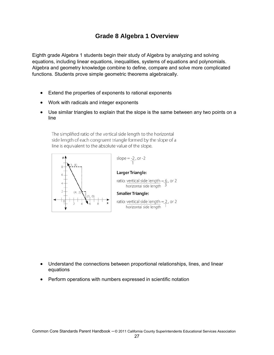## **Grade 8 Algebra 1 Overview**

Eighth grade Algebra 1 students begin their study of Algebra by analyzing and solving equations, including linear equations, inequalities, systems of equations and polynomials. Algebra and geometry knowledge combine to define, compare and solve more complicated functions. Students prove simple geometric theorems algebraically.

- Extend the properties of exponents to rational exponents
- Work with radicals and integer exponents
- Use similar triangles to explain that the slope is the same between any two points on a line

The simplified ratio of the vertical side length to the horizontal side length of each congruent triangle formed by the slope of a line is equivalent to the absolute value of the slope.



slope 
$$
=
$$
  $\frac{-2}{1}$ , or  $-2$ 

#### Larger Triangle:

ratio: vertical side length =  $6$ , or 2 horizontal side length 3

#### **Smaller Triangle:**

ratio: vertical side length =  $2$ , or 2 horizontal side length 1

- Understand the connections between proportional relationships, lines, and linear equations
- Perform operations with numbers expressed in scientific notation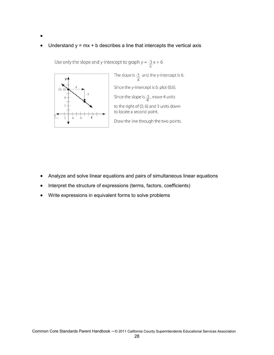$\bullet$ 

## $\bullet$  Understand  $y = mx + b$  describes a line that intercepts the vertical axis

Use only the slope and y-intercept to graph  $y = \frac{-3}{4}x + 6$ 



The slope is  $\frac{-3}{4}$  and the y-intercept is 6. Since the y-intercept is 6, plot (0,6). Since the slope is  $\frac{-3}{4}$ , move 4 units to the right of (0, 6) and 3 units down to locate a second point. Draw the line through the two points.

- Analyze and solve linear equations and pairs of simultaneous linear equations
- Interpret the structure of expressions (terms, factors, coefficients)
- Write expressions in equivalent forms to solve problems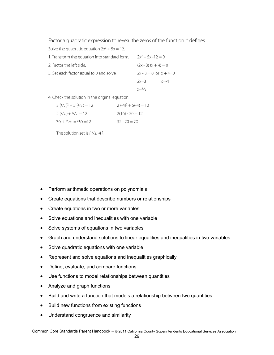Factor a quadratic expression to reveal the zeros of the function it defines.

Solve the quadratic equation  $2x^2 + 5x = 12$ .

| 1. Transform the equation into standard form. | $2x^2 + 5x - 12 = 0$  |                             |
|-----------------------------------------------|-----------------------|-----------------------------|
| 2. Factor the left side.                      | $(2x - 3)(x + 4) = 0$ |                             |
| 3. Set each factor equal to 0 and solve.      |                       | $2x - 3 = 0$ or $x + 4 = 0$ |
|                                               | $2x=3$                | $x=-4$                      |
|                                               | $x=3/2$               |                             |

4. Check the solution in the original equation.

| $2(3/2)^{2} + 5(3/2) = 12$                       | $2(-4)^{2} + 5(-4) = 12$ |
|--------------------------------------------------|--------------------------|
| $2(9/4) + 15/2 = 12$                             | $2(16) - 20 = 12$        |
| $\frac{9}{2} + \frac{15}{2} = \frac{24}{2} = 12$ | $32 - 20 = 20$           |

The solution set is  $\{3/2, -4\}$ .

- Perform arithmetic operations on polynomials
- Create equations that describe numbers or relationships
- Create equations in two or more variables
- Solve equations and inequalities with one variable
- Solve systems of equations in two variables
- Graph and understand solutions to linear equalities and inequalities in two variables
- Solve quadratic equations with one variable
- Represent and solve equations and inequalities graphically
- Define, evaluate, and compare functions
- Use functions to model relationships between quantities
- Analyze and graph functions
- Build and write a function that models a relationship between two quantities
- Build new functions from existing functions
- Understand congruence and similarity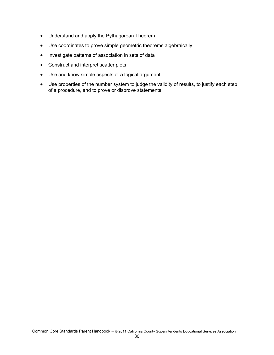- Understand and apply the Pythagorean Theorem
- Use coordinates to prove simple geometric theorems algebraically
- Investigate patterns of association in sets of data
- Construct and interpret scatter plots
- Use and know simple aspects of a logical argument
- Use properties of the number system to judge the validity of results, to justify each step of a procedure, and to prove or disprove statements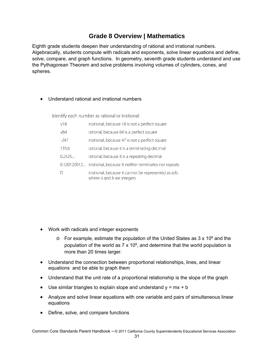## **Grade 8 Overview | Mathematics**

Eighth grade students deepen their understanding of rational and irrational numbers. Algebraically, students compute with radicals and exponents, solve linear equations and define, solve, compare, and graph functions. In geometry, seventh grade students understand and use the Pythagorean Theorem and solve problems involving volumes of cylinders, cones, and spheres.

## Understand rational and irrational numbers

Identify each number as rational or irrational:

| $\sqrt{18}$  | irrational, because 18 is not a perfect square                                         |
|--------------|----------------------------------------------------------------------------------------|
| $\sqrt{64}$  | rational, because 64 is a perfect square                                               |
| $-\sqrt{47}$ | irrational, because 47 is not a perfect square                                         |
| 135.6        | rational, because it is a terminating decimal                                          |
| 0.2525       | rational, because it is a repeating decimal                                            |
|              | 0.120120012 irrational, because it neither terminates nor repeats                      |
|              | irrational, because it cannot be represented as a/b,<br>where $a$ and $b$ are integers |

- Work with radicals and integer exponents
	- $\circ$  For example, estimate the population of the United States as 3 x 10<sup>8</sup> and the population of the world as  $7 \times 10^9$ , and determine that the world population is more than 20 times larger.
- Understand the connection between proportional relationships, lines, and linear equations and be able to graph them
- Understand that the unit rate of a proportional relationship is the slope of the graph
- $\bullet$  Use similar triangles to explain slope and understand  $y = mx + b$
- Analyze and solve linear equations with one variable and pairs of simultaneous linear equations
- Define, solve, and compare functions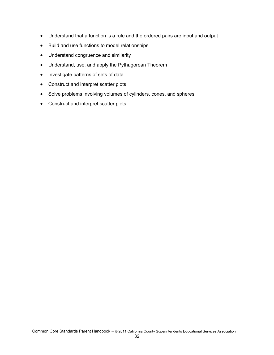- Understand that a function is a rule and the ordered pairs are input and output
- Build and use functions to model relationships
- Understand congruence and similarity
- Understand, use, and apply the Pythagorean Theorem
- Investigate patterns of sets of data
- Construct and interpret scatter plots
- Solve problems involving volumes of cylinders, cones, and spheres
- Construct and interpret scatter plots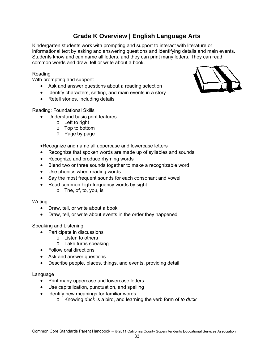## **Grade K Overview | English Language Arts**

Kindergarten students work with prompting and support to interact with literature or informational text by asking and answering questions and identifying details and main events. Students know and can name all letters, and they can print many letters. They can read common words and draw, tell or write about a book.

#### Reading

With prompting and support:

- Ask and answer questions about a reading selection
- Identify characters, setting, and main events in a story
- Retell stories, including details

Reading: Foundational Skills

- Understand basic print features
	- o Left to right
	- o Top to bottom
	- o Page by page

Recognize and name all uppercase and lowercase letters

- Recognize that spoken words are made up of syllables and sounds
- Recognize and produce rhyming words
- Blend two or three sounds together to make a recognizable word
- Use phonics when reading words
- Say the most frequent sounds for each consonant and vowel
- Read common high-frequency words by sight
	- o The, of, to, you, is

#### Writing

- Draw, tell, or write about a book
- Draw, tell, or write about events in the order they happened

Speaking and Listening

- Participate in discussions
	- o Listen to others
	- o Take turns speaking
- Follow oral directions
- Ask and answer questions
- Describe people, places, things, and events, providing detail

- Print many uppercase and lowercase letters
- Use capitalization, punctuation, and spelling
- Identify new meanings for familiar words
	- o Knowing *duck* is a bird, and learning the verb form of *to duck*

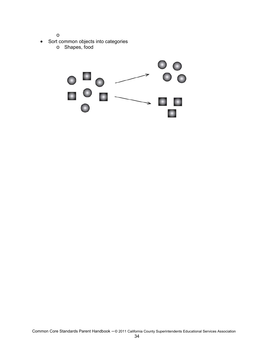o

- Sort common objects into categories
	- o Shapes, food

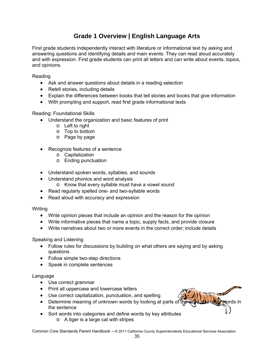## **Grade 1 Overview | English Language Arts**

First grade students independently interact with literature or informational text by asking and answering questions and identifying details and main events. They can read aloud accurately and with expression. First grade students can print all letters and can write about events, topics, and opinions.

Reading

- Ask and answer questions about details in a reading selection
- Retell stories, including details
- Explain the differences between books that tell stories and books that give information
- With prompting and support, read first grade informational texts

Reading: Foundational Skills

- Understand the organization and basic features of print
	- o Left to right
	- o Top to bottom
	- o Page by page
- Recognize features of a sentence
	- o Capitalization
	- o Ending punctuation
- Understand spoken words, syllables, and sounds
- Understand phonics and word analysis
	- o Know that every syllable must have a vowel sound
- Read regularly spelled one- and two-syllable words
- Read aloud with accuracy and expression

Writing

- Write opinion pieces that include an opinion and the reason for the opinion
- Write informative pieces that name a topic, supply facts, and provide closure
- Write narratives about two or more events in the correct order; include details

Speaking and Listening

- Follow rules for discussions by building on what others are saying and by asking questions
- Follow simple two-step directions
- Speak in complete sentences

#### Language

- Use correct grammar
- Print all uppercase and lowercase letters
- Use correct capitalization, punctuation, and spelling
- **•** Determine meaning of unknown words by looking at parts of the word and other words in the sentence
- Sort words into categories and define words by key attributes
	- o A tiger is a large cat with stripes

Common Core Standards Parent Handbook – © 2011 California County Superintendents Educational Services Association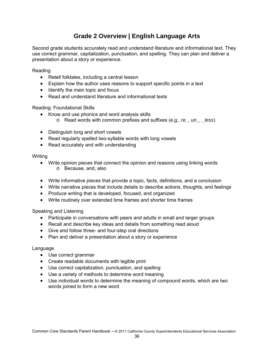## **Grade 2 Overview | English Language Arts**

Second grade students accurately read and understand literature and informational text. They use correct grammar, capitalization, punctuation, and spelling. They can plan and deliver a presentation about a story or experience.

Reading

- Retell folktales, including a central lesson
- Explain how the author uses reasons to support specific points in a text
- $\bullet$  Identify the main topic and focus
- Read and understand literature and informational texts

Reading: Foundational Skills

- Know and use phonics and word analysis skills
	- o Read words with common prefixes and suffixes (e.g., *re\_, un\_, \_less*)
- Distinguish long and short vowels
- Read regularly spelled two-syllable words with long vowels
- Read accurately and with understanding

**Writing** 

- Write opinion pieces that connect the opinion and reasons using linking words o Because, and, also
- Write informative pieces that provide a topic, facts, definitions, and a conclusion
- Write narrative pieces that include details to describe actions, thoughts, and feelings
- Produce writing that is developed, focused, and organized
- Write routinely over extended time frames and shorter time frames

Speaking and Listening

- Participate in conversations with peers and adults in small and larger groups
- Recall and describe key ideas and details from something read aloud
- Give and follow three- and four-step oral directions
- Plan and deliver a presentation about a story or experience

- Use correct grammar
- Create readable documents with legible print
- Use correct capitalization, punctuation, and spelling
- Use a variety of methods to determine word meaning
- Use individual words to determine the meaning of compound words, which are two words joined to form a new word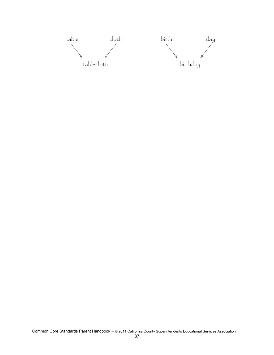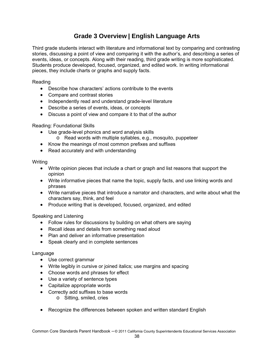## **Grade 3 Overview | English Language Arts**

Third grade students interact with literature and informational text by comparing and contrasting stories, discussing a point of view and comparing it with the author's, and describing a series of events, ideas, or concepts. Along with their reading, third grade writing is more sophisticated. Students produce developed, focused, organized, and edited work. In writing informational pieces, they include charts or graphs and supply facts.

Reading

- Describe how characters' actions contribute to the events
- Compare and contrast stories
- Independently read and understand grade-level literature
- Describe a series of events, ideas, or concepts
- Discuss a point of view and compare it to that of the author

Reading: Foundational Skills

- Use grade-level phonics and word analysis skills
	- o Read words with multiple syllables, e.g., mosquito, puppeteer
- Know the meanings of most common prefixes and suffixes
- Read accurately and with understanding

Writing

- Write opinion pieces that include a chart or graph and list reasons that support the opinion
- Write informative pieces that name the topic, supply facts, and use linking words and phrases
- Write narrative pieces that introduce a narrator and characters, and write about what the characters say, think, and feel
- Produce writing that is developed, focused, organized, and edited

Speaking and Listening

- Follow rules for discussions by building on what others are saying
- Recall ideas and details from something read aloud
- Plan and deliver an informative presentation
- Speak clearly and in complete sentences

- Use correct grammar
- Write legibly in cursive or joined italics; use margins and spacing
- Choose words and phrases for effect
- Use a variety of sentence types
- Capitalize appropriate words
- Correctly add suffixes to base words
	- o Sitting, smiled, cries
- Recognize the differences between spoken and written standard English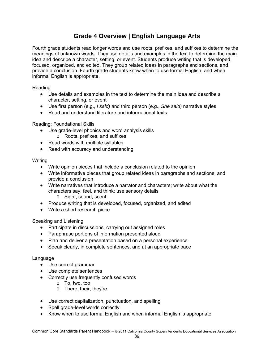## **Grade 4 Overview | English Language Arts**

Fourth grade students read longer words and use roots, prefixes, and suffixes to determine the meanings of unknown words. They use details and examples in the text to determine the main idea and describe a character, setting, or event. Students produce writing that is developed, focused, organized, and edited. They group related ideas in paragraphs and sections, and provide a conclusion. Fourth grade students know when to use formal English, and when informal English is appropriate.

Reading

- Use details and examples in the text to determine the main idea and describe a character, setting, or event
- Use first person (e.g., *I said)* and third person (e.g., *She said)* narrative styles
- Read and understand literature and informational texts

## Reading: Foundational Skills

- Use grade-level phonics and word analysis skills
	- o Roots, prefixes, and suffixes
- Read words with multiple syllables
- Read with accuracy and understanding

Writing

- Write opinion pieces that include a conclusion related to the opinion
- Write informative pieces that group related ideas in paragraphs and sections, and provide a conclusion
- Write narratives that introduce a narrator and characters; write about what the characters say, feel, and think; use sensory details
	- o Sight, sound, scent
- Produce writing that is developed, focused, organized, and edited
- Write a short research piece

Speaking and Listening

- Participate in discussions, carrying out assigned roles
- Paraphrase portions of information presented aloud
- Plan and deliver a presentation based on a personal experience
- Speak clearly, in complete sentences, and at an appropriate pace

- Use correct grammar
- Use complete sentences
- Correctly use frequently confused words
	- o To, two, too
	- o There, their, they're
- Use correct capitalization, punctuation, and spelling
- Spell grade-level words correctly
- Know when to use formal English and when informal English is appropriate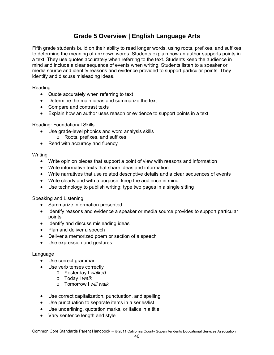## **Grade 5 Overview | English Language Arts**

Fifth grade students build on their ability to read longer words, using roots, prefixes, and suffixes to determine the meaning of unknown words. Students explain how an author supports points in a text. They use quotes accurately when referring to the text. Students keep the audience in mind and include a clear sequence of events when writing. Students listen to a speaker or media source and identify reasons and evidence provided to support particular points. They identify and discuss misleading ideas.

Reading

- Quote accurately when referring to text
- Determine the main ideas and summarize the text
- Compare and contrast texts
- Explain how an author uses reason or evidence to support points in a text

## Reading: Foundational Skills

- Use grade-level phonics and word analysis skills
	- o Roots, prefixes, and suffixes
- Read with accuracy and fluency

#### **Writing**

- Write opinion pieces that support a point of view with reasons and information
- Write informative texts that share ideas and information
- Write narratives that use related descriptive details and a clear sequences of events
- Write clearly and with a purpose; keep the audience in mind
- Use technology to publish writing; type two pages in a single sitting

Speaking and Listening

- Summarize information presented
- Identify reasons and evidence a speaker or media source provides to support particular points
- Identify and discuss misleading ideas
- Plan and deliver a speech
- Deliver a memorized poem or section of a speech
- Use expression and gestures

- Use correct grammar
- Use verb tenses correctly
	- o Yesterday I *walked*
	- o Today I *walk*
	- o Tomorrow I *will walk*
- Use correct capitalization, punctuation, and spelling
- Use punctuation to separate items in a series/list
- Use underlining, quotation marks, or italics in a title
- Vary sentence length and style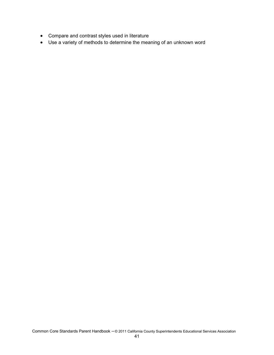- Compare and contrast styles used in literature
- Use a variety of methods to determine the meaning of an unknown word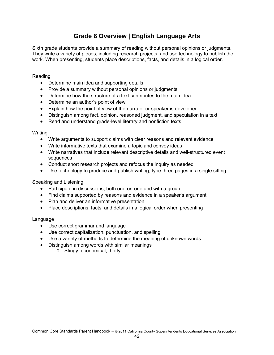## **Grade 6 Overview | English Language Arts**

Sixth grade students provide a summary of reading without personal opinions or judgments. They write a variety of pieces, including research projects, and use technology to publish the work. When presenting, students place descriptions, facts, and details in a logical order.

#### Reading

- Determine main idea and supporting details
- Provide a summary without personal opinions or judgments
- Determine how the structure of a text contributes to the main idea
- Determine an author's point of view
- Explain how the point of view of the narrator or speaker is developed
- Distinguish among fact, opinion, reasoned judgment, and speculation in a text
- Read and understand grade-level literary and nonfiction texts

#### **Writing**

- Write arguments to support claims with clear reasons and relevant evidence
- Write informative texts that examine a topic and convey ideas
- Write narratives that include relevant descriptive details and well-structured event sequences
- Conduct short research projects and refocus the inquiry as needed
- Use technology to produce and publish writing; type three pages in a single sitting

#### Speaking and Listening

- Participate in discussions, both one-on-one and with a group
- Find claims supported by reasons and evidence in a speaker's argument
- Plan and deliver an informative presentation
- Place descriptions, facts, and details in a logical order when presenting

- Use correct grammar and language
- Use correct capitalization, punctuation, and spelling
- Use a variety of methods to determine the meaning of unknown words
- Distinguish among words with similar meanings
	- o Stingy, economical, thrifty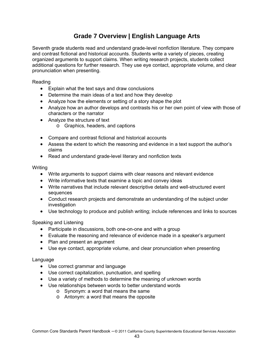## **Grade 7 Overview | English Language Arts**

Seventh grade students read and understand grade-level nonfiction literature. They compare and contrast fictional and historical accounts. Students write a variety of pieces, creating organized arguments to support claims. When writing research projects, students collect additional questions for further research. They use eye contact, appropriate volume, and clear pronunciation when presenting.

#### Reading

- Explain what the text says and draw conclusions
- Determine the main ideas of a text and how they develop
- Analyze how the elements or setting of a story shape the plot
- Analyze how an author develops and contrasts his or her own point of view with those of characters or the narrator
- Analyze the structure of text
	- o Graphics, headers, and captions
- Compare and contrast fictional and historical accounts
- Assess the extent to which the reasoning and evidence in a text support the author's claims
- Read and understand grade-level literary and nonfiction texts

#### Writing

- Write arguments to support claims with clear reasons and relevant evidence
- Write informative texts that examine a topic and convey ideas
- Write narratives that include relevant descriptive details and well-structured event sequences
- Conduct research projects and demonstrate an understanding of the subject under investigation
- Use technology to produce and publish writing; include references and links to sources

Speaking and Listening

- Participate in discussions, both one-on-one and with a group
- Evaluate the reasoning and relevance of evidence made in a speaker's argument
- Plan and present an argument
- Use eye contact, appropriate volume, and clear pronunciation when presenting

- Use correct grammar and language
- Use correct capitalization, punctuation, and spelling
- Use a variety of methods to determine the meaning of unknown words
- Use relationships between words to better understand words
	- o Synonym: a word that means the same
	- o Antonym: a word that means the opposite